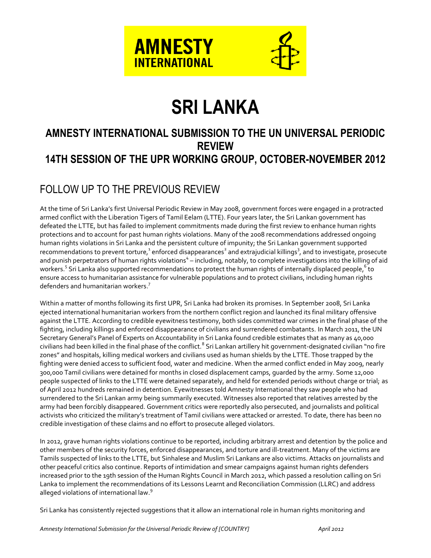

# **SRI LANKA**

# **AMNESTY INTERNATIONAL SUBMISSION TO THE UN UNIVERSAL PERIODIC REVIEW 14TH SESSION OF THE UPR WORKING GROUP, OCTOBER-NOVEMBER 2012**

# FOLLOW UP TO THE PREVIOUS REVIEW

At the time of Sri Lanka's first Universal Periodic Review in May 2008, government forces were engaged in a protracted armed conflict with the Liberation Tigers of Tamil Eelam (LTTE). Four years later, the Sri Lankan government has defeated the LTTE, but has failed to implement commitments made during the first review to enhance human rights protections and to account for past human rights violations. Many of the 2008 recommendations addressed ongoing human rights violations in Sri Lanka and the persistent culture of impunity; the Sri Lankan government supported recommendations to prevent torture,  $^1$  enforced disappearances  $^2$  and extrajudicial killings  $^3$ , and to investigate, prosecute and punish perpetrators of human rights violations $^4$  – including, notably, to complete investigations into the killing of aid workers.<sup>5</sup> Sri Lanka also supported recommendations to protect the human rights of internally displaced people,<sup>6</sup> to ensure access to humanitarian assistance for vulnerable populations and to protect civilians, including human rights defenders and humanitarian workers.<sup>7</sup>

Within a matter of months following its first UPR, Sri Lanka had broken its promises. In September 2008, Sri Lanka ejected international humanitarian workers from the northern conflict region and launched its final military offensive against the LTTE. According to credible eyewitness testimony, both sides committed war crimes in the final phase of the fighting, including killings and enforced disappearance of civilians and surrendered combatants. In March 2011, the UN Secretary General's Panel of Experts on Accountability in Sri Lanka found credible estimates that as many as 40,000 civilians had been killed in the final phase of the conflict.<sup>8</sup> Sri Lankan artillery hit government-designated civilian "no fire zones" and hospitals, killing medical workers and civilians used as human shields by the LTTE. Those trapped by the fighting were denied access to sufficient food, water and medicine. When the armed conflict ended in May 2009, nearly 300,000 Tamil civilians were detained for months in closed displacement camps, guarded by the army. Some 12,000 people suspected of links to the LTTE were detained separately, and held for extended periods without charge or trial; as of April 2012 hundreds remained in detention. Eyewitnesses told Amnesty International they saw people who had surrendered to the Sri Lankan army being summarily executed. Witnesses also reported that relatives arrested by the army had been forcibly disappeared. Government critics were reportedly also persecuted, and journalists and political activists who criticized the military's treatment of Tamil civilians were attacked or arrested. To date, there has been no credible investigation of these claims and no effort to prosecute alleged violators.

In 2012, grave human rights violations continue to be reported, including arbitrary arrest and detention by the police and other members of the security forces, enforced disappearances, and torture and ill-treatment. Many of the victims are Tamils suspected of links to the LTTE, but Sinhalese and Muslim Sri Lankans are also victims. Attacks on journalists and other peaceful critics also continue. Reports of intimidation and smear campaigns against human rights defenders increased prior to the 19th session of the Human Rights Council in March 2012, which passed a resolution calling on Sri Lanka to implement the recommendations of its Lessons Learnt and Reconciliation Commission (LLRC) and address alleged violations of international law.<sup>9</sup>

Sri Lanka has consistently rejected suggestions that it allow an international role in human rights monitoring and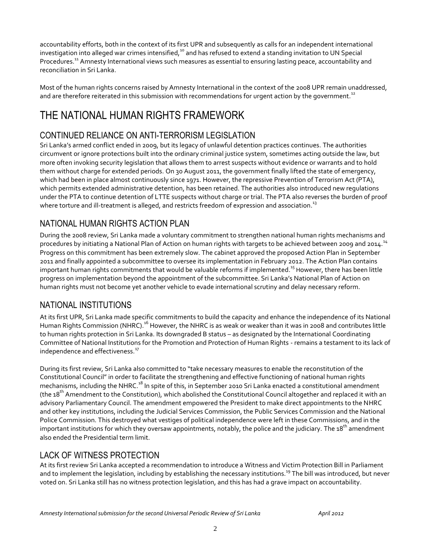accountability efforts, both in the context of its first UPR and subsequently as calls for an independent international investigation into alleged war crimes intensified,<sup>10</sup> and has refused to extend a standing invitation to UN Special Procedures.<sup>11</sup> Amnesty International views such measures as essential to ensuring lasting peace, accountability and reconciliation in Sri Lanka.

Most of the human rights concerns raised by Amnesty International in the context of the 2008 UPR remain unaddressed, and are therefore reiterated in this submission with recommendations for urgent action by the government.<sup>12</sup>

# THE NATIONAL HUMAN RIGHTS FRAMEWORK

# CONTINUED RELIANCE ON ANTI-TERRORISM LEGISLATION

Sri Lanka's armed conflict ended in 2009, but its legacy of unlawful detention practices continues. The authorities circumvent or ignore protections built into the ordinary criminal justice system, sometimes acting outside the law, but more often invoking security legislation that allows them to arrest suspects without evidence or warrants and to hold them without charge for extended periods. On 30 August 2011, the government finally lifted the state of emergency, which had been in place almost continuously since 1971. However, the repressive Prevention of Terrorism Act (PTA), which permits extended administrative detention, has been retained. The authorities also introduced new regulations under the PTA to continue detention of LTTE suspects without charge or trial. The PTA also reverses the burden of proof where torture and ill-treatment is alleged, and restricts freedom of expression and association. $^{\rm 13}$ 

# NATIONAL HUMAN RIGHTS ACTION PLAN

During the 2008 review, Sri Lanka made a voluntary commitment to strengthen national human rights mechanisms and procedures by initiating a National Plan of Action on human rights with targets to be achieved between 2009 and 2014.<sup>14</sup> Progress on this commitment has been extremely slow. The cabinet approved the proposed Action Plan in September 2011 and finally appointed a subcommittee to oversee its implementation in February 2012. The Action Plan contains important human rights commitments that would be valuable reforms if implemented.<sup>15</sup> However, there has been little progress on implementation beyond the appointment of the subcommittee. Sri Lanka's National Plan of Action on human rights must not become yet another vehicle to evade international scrutiny and delay necessary reform.

# NATIONAL INSTITUTIONS

At its first UPR, Sri Lanka made specific commitments to build the capacity and enhance the independence of its National Human Rights Commission (NHRC).<sup>16</sup> However, the NHRC is as weak or weaker than it was in 2008 and contributes little to human rights protection in Sri Lanka. Its downgraded B status – as designated by the International Coordinating Committee of National Institutions for the Promotion and Protection of Human Rights - remains a testament to its lack of independence and effectiveness.<sup>17</sup>

During its first review, Sri Lanka also committed to "take necessary measures to enable the reconstitution of the Constitutional Council" in order to facilitate the strengthening and effective functioning of national human rights mechanisms, including the NHRC.<sup>18</sup> In spite of this, in September 2010 Sri Lanka enacted a constitutional amendment (the 18<sup>th</sup> Amendment to the Constitution), which abolished the Constitutional Council altogether and replaced it with an advisory Parliamentary Council. The amendment empowered the President to make direct appointments to the NHRC and other key institutions, including the Judicial Services Commission, the Public Services Commission and the National Police Commission. This destroyed what vestiges of political independence were left in these Commissions, and in the important institutions for which they oversaw appointments, notably, the police and the judiciary. The 18<sup>th</sup> amendment also ended the Presidential term limit.

### LACK OF WITNESS PROTECTION

At its first review Sri Lanka accepted a recommendation to introduce a Witness and Victim Protection Bill in Parliament and to implement the legislation, including by establishing the necessary institutions.<sup>19</sup> The bill was introduced, but never voted on. Sri Lanka still has no witness protection legislation, and this has had a grave impact on accountability.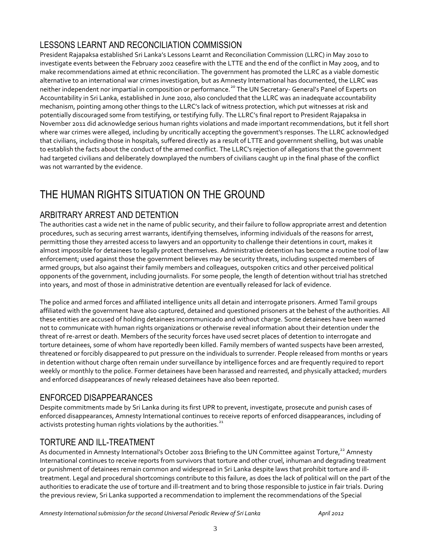# LESSONS LEARNT AND RECONCILIATION COMMISSION

President Rajapaksa established Sri Lanka's Lessons Learnt and Reconciliation Commission (LLRC) in May 2010 to investigate events between the February 2002 ceasefire with the LTTE and the end of the conflict in May 2009, and to make recommendations aimed at ethnic reconciliation. The government has promoted the LLRC as a viable domestic alternative to an international war crimes investigation, but as Amnesty International has documented, the LLRC was neither independent nor impartial in composition or performance.<sup>20</sup> The UN Secretary- General's Panel of Experts on Accountability in Sri Lanka, established in June 2010, also concluded that the LLRC was an inadequate accountability mechanism, pointing among other things to the LLRC's lack of witness protection, which put witnesses at risk and potentially discouraged some from testifying, or testifying fully. The LLRC's final report to President Rajapaksa in November 2011 did acknowledge serious human rights violations and made important recommendations, but it fell short where war crimes were alleged, including by uncritically accepting the government's responses. The LLRC acknowledged that civilians, including those in hospitals, suffered directly as a result of LTTE and government shelling, but was unable to establish the facts about the conduct of the armed conflict. The LLRC's rejection of allegations that the government had targeted civilians and deliberately downplayed the numbers of civilians caught up in the final phase of the conflict was not warranted by the evidence.

# THE HUMAN RIGHTS SITUATION ON THE GROUND

## ARBITRARY ARREST AND DETENTION

The authorities cast a wide net in the name of public security, and their failure to follow appropriate arrest and detention procedures, such as securing arrest warrants, identifying themselves, informing individuals of the reasons for arrest, permitting those they arrested access to lawyers and an opportunity to challenge their detentions in court, makes it almost impossible for detainees to legally protect themselves. Administrative detention has become a routine tool of law enforcement; used against those the government believes may be security threats, including suspected members of armed groups, but also against their family members and colleagues, outspoken critics and other perceived political opponents of the government, including journalists. For some people, the length of detention without trial has stretched into years, and most of those in administrative detention are eventually released for lack of evidence.

The police and armed forces and affiliated intelligence units all detain and interrogate prisoners. Armed Tamil groups affiliated with the government have also captured, detained and questioned prisoners at the behest of the authorities. All these entities are accused of holding detainees incommunicado and without charge. Some detainees have been warned not to communicate with human rights organizations or otherwise reveal information about their detention under the threat of re-arrest or death. Members of the security forces have used secret places of detention to interrogate and torture detainees, some of whom have reportedly been killed. Family members of wanted suspects have been arrested, threatened or forcibly disappeared to put pressure on the individuals to surrender. People released from months or years in detention without charge often remain under surveillance by intelligence forces and are frequently required to report weekly or monthly to the police. Former detainees have been harassed and rearrested, and physically attacked; murders and enforced disappearances of newly released detainees have also been reported.

### ENFORCED DISAPPEARANCES

Despite commitments made by Sri Lanka during its first UPR to prevent, investigate, prosecute and punish cases of enforced disappearances, Amnesty International continues to receive reports of enforced disappearances, including of activists protesting human rights violations by the authorities. $21$ 

### TORTURE AND ILL-TREATMENT

As documented in Amnesty International's October 2011 Briefing to the UN Committee against Torture,<sup>22</sup> Amnesty International continues to receive reports from survivors that torture and other cruel, inhuman and degrading treatment or punishment of detainees remain common and widespread in Sri Lanka despite laws that prohibit torture and illtreatment. Legal and procedural shortcomings contribute to this failure, as does the lack of political will on the part of the authorities to eradicate the use of torture and ill-treatment and to bring those responsible to justice in fair trials. During the previous review, Sri Lanka supported a recommendation to implement the recommendations of the Special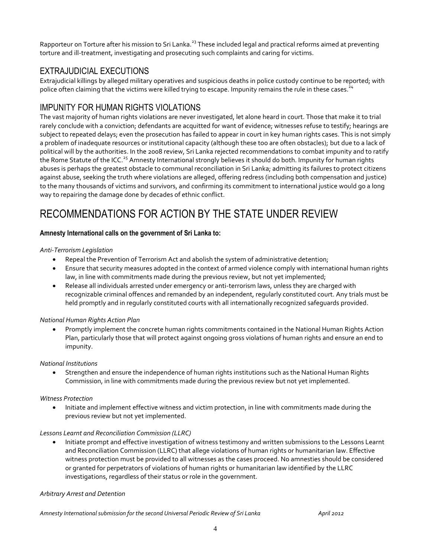Rapporteur on Torture after his mission to Sri Lanka.<sup>23</sup> These included legal and practical reforms aimed at preventing torture and ill-treatment, investigating and prosecuting such complaints and caring for victims.

## EXTRAJUDICIAL EXECUTIONS

Extrajudicial killings by alleged military operatives and suspicious deaths in police custody continue to be reported; with police often claiming that the victims were killed trying to escape. Impunity remains the rule in these cases.<sup>24</sup>

### IMPUNITY FOR HUMAN RIGHTS VIOLATIONS

The vast majority of human rights violations are never investigated, let alone heard in court. Those that make it to trial rarely conclude with a conviction; defendants are acquitted for want of evidence; witnesses refuse to testify; hearings are subject to repeated delays; even the prosecution has failed to appear in court in key human rights cases. This is not simply a problem of inadequate resources or institutional capacity (although these too are often obstacles); but due to a lack of political will by the authorities. In the 2008 review, Sri Lanka rejected recommendations to combat impunity and to ratify the Rome Statute of the ICC.<sup>25</sup> Amnesty International strongly believes it should do both. Impunity for human rights abuses is perhaps the greatest obstacle to communal reconciliation in Sri Lanka; admitting its failures to protect citizens against abuse, seeking the truth where violations are alleged, offering redress (including both compensation and justice) to the many thousands of victims and survivors, and confirming its commitment to international justice would go a long way to repairing the damage done by decades of ethnic conflict.

# RECOMMENDATIONS FOR ACTION BY THE STATE UNDER REVIEW

### **Amnesty International calls on the government of Sri Lanka to:**

### *Anti-Terrorism Legislation*

- Repeal the Prevention of Terrorism Act and abolish the system of administrative detention;
- Ensure that security measures adopted in the context of armed violence comply with international human rights law, in line with commitments made during the previous review, but not yet implemented;
- Release all individuals arrested under emergency or anti-terrorism laws, unless they are charged with recognizable criminal offences and remanded by an independent, regularly constituted court. Any trials must be held promptly and in regularly constituted courts with all internationally recognized safeguards provided.

### *National Human Rights Action Plan*

 Promptly implement the concrete human rights commitments contained in the National Human Rights Action Plan, particularly those that will protect against ongoing gross violations of human rights and ensure an end to impunity.

### *National Institutions*

 Strengthen and ensure the independence of human rights institutions such as the National Human Rights Commission, in line with commitments made during the previous review but not yet implemented.

### *Witness Protection*

• Initiate and implement effective witness and victim protection, in line with commitments made during the previous review but not yet implemented.

### *Lessons Learnt and Reconciliation Commission (LLRC)*

 Initiate prompt and effective investigation of witness testimony and written submissions to the Lessons Learnt and Reconciliation Commission (LLRC) that allege violations of human rights or humanitarian law. Effective witness protection must be provided to all witnesses as the cases proceed. No amnesties should be considered or granted for perpetrators of violations of human rights or humanitarian law identified by the LLRC investigations, regardless of their status or role in the government.

### *Arbitrary Arrest and Detention*

*Amnesty International submission for the second Universal Periodic Review of Sri Lanka April 2012*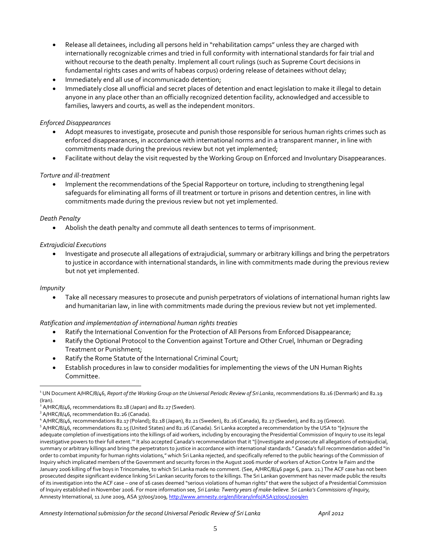- Release all detainees, including all persons held in "rehabilitation camps" unless they are charged with internationally recognizable crimes and tried in full conformity with international standards for fair trial and without recourse to the death penalty. Implement all court rulings (such as Supreme Court decisions in fundamental rights cases and writs of habeas corpus) ordering release of detainees without delay;
- Immediately end all use of incommunicado detention;
- Immediately close all unofficial and secret places of detention and enact legislation to make it illegal to detain anyone in any place other than an officially recognized detention facility, acknowledged and accessible to families, lawyers and courts, as well as the independent monitors.

### *Enforced Disappearances*

- Adopt measures to investigate, prosecute and punish those responsible for serious human rights crimes such as enforced disappearances, in accordance with international norms and in a transparent manner, in line with commitments made during the previous review but not yet implemented;
- Facilitate without delay the visit requested by the Working Group on Enforced and Involuntary Disappearances.

### *Torture and ill-treatment*

 Implement the recommendations of the Special Rapporteur on torture, including to strengthening legal safeguards for eliminating all forms of ill treatment or torture in prisons and detention centres, in line with commitments made during the previous review but not yet implemented.

### *Death Penalty*

Abolish the death penalty and commute all death sentences to terms of imprisonment.

### *Extrajudicial Executions*

 Investigate and prosecute all allegations of extrajudicial, summary or arbitrary killings and bring the perpetrators to justice in accordance with international standards, in line with commitments made during the previous review but not yet implemented.

#### *Impunity*

 $\overline{a}$ 

 Take all necessary measures to prosecute and punish perpetrators of violations of international human rights law and humanitarian law, in line with commitments made during the previous review but not yet implemented.

#### *Ratification and implementation of international human rights treaties*

- Ratify the International Convention for the Protection of All Persons from Enforced Disappearance;
- Ratify the Optional Protocol to the Convention against Torture and Other Cruel, Inhuman or Degrading Treatment or Punishment;
- Ratify the Rome Statute of the International Criminal Court;
- Establish procedures in law to consider modalities for implementing the views of the UN Human Rights Committee.

<sup>1</sup> UN Document A/HRC/8/46, *Report of the Working Group on the Universal Periodic Review of Sri Lanka*, recommendations 82.16 (Denmark) and 82.19 (Iran).

 $^2$  A/HRC/8/46, recommendations 82.18 (Japan) and 82.27 (Sweden).

<sup>&</sup>lt;sup>3</sup> A/HRC/8/46, recommendation 82.26 (Canada).

<sup>4</sup> A/HRC/8/46, recommendations 82.17 (Poland); 82.18 (Japan), 82.21 (Sweden), 82.26 (Canada), 82.27 (Sweden), and 82.29 (Greece).

<sup>&</sup>lt;sup>5</sup> A/HRC/8/46, recommendations 82.15 (United States) and 82.26 (Canada). Sri Lanka accepted a recommendation by the USA to "[e]nsure the adequate completion of investigations into the killings of aid workers, including by encouraging the Presidential Commission of Inquiry to use its legal investigative powers to their full extent.'" It also accepted Canada's recommendation that it "[i]nvestigate and prosecute all allegations of extrajudicial, summary or arbitrary killings and bring the perpetrators to justice in accordance with international standards." Canada's full recommendation added "in order to combat impunity for human rights violations," which Sri Lanka rejected, and specifically referred to the public hearings of the Commission of Inquiry which implicated members of the Government and security forces in the August 2006 murder of workers of Action Contre le Faim and the January 2006 killing of five boys in Trincomalee, to which Sri Lanka made no comment. (See, A/HRC/8/46 page 6, para. 21.) The ACF case has not been prosecuted despite significant evidence linking Sri Lankan security forces to the killings. The Sri Lankan government has never made public the results of its investigation into the ACF case – one of 16 cases deemed "serious violations of human rights" that were the subject of a Presidential Commission of Inquiry established in November 2006. For more information see, *Sri Lanka: Twenty years of make-believe. Sri Lanka's Commissions of Inquiry,*  Amnesty International, 11 June 2009, ASA 37/005/2009[, http://www.amnesty.org/en/library/info/ASA37/005/2009/en](http://www.amnesty.org/en/library/info/ASA37/005/2009/en)